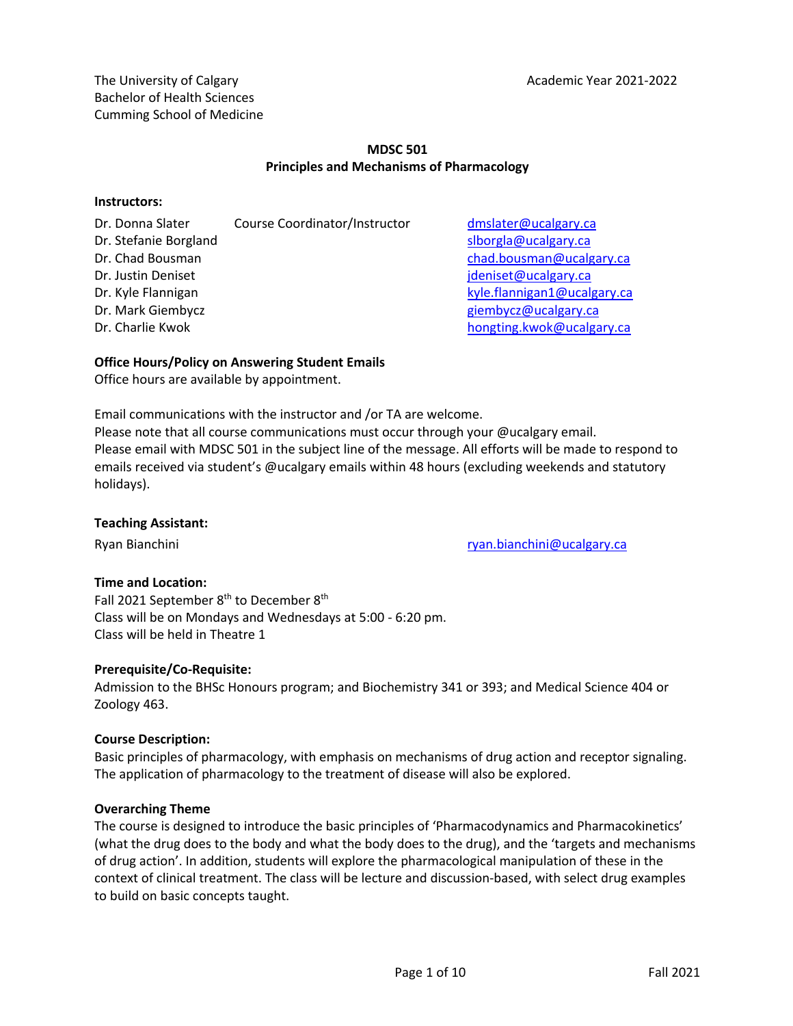The University of Calgary **Academic Year 2021-2022** Bachelor of Health Sciences Cumming School of Medicine

## **MDSC 501 Principles and Mechanisms of Pharmacology**

#### **Instructors:**

| Course Coordinator/Instructor |
|-------------------------------|
|                               |
|                               |
|                               |
|                               |
|                               |
|                               |
|                               |

dmslater@ucalgary.ca slborgla@ucalgary.ca chad.bousman@ucalgary.ca jdeniset@ucalgary.ca kyle. flannigan 1@ucalgary.ca giembycz@ucalgary.ca hongting.kwok@ucalgary.ca

## **Office Hours/Policy on Answering Student Emails**

Office hours are available by appointment.

Email communications with the instructor and /or TA are welcome.

Please note that all course communications must occur through your @ucalgary email. Please email with MDSC 501 in the subject line of the message. All efforts will be made to respond to emails received via student's @ucalgary emails within 48 hours (excluding weekends and statutory holidays).

## **Teaching Assistant:**

Ryan Bianchini ryan.bianchini ryan.bianchini@ucalgary.ca

## **Time and Location:**

Fall 2021 September 8<sup>th</sup> to December 8<sup>th</sup> Class will be on Mondays and Wednesdays at 5:00 - 6:20 pm. Class will be held in Theatre 1

## **Prerequisite/Co-Requisite:**

Admission to the BHSc Honours program; and Biochemistry 341 or 393; and Medical Science 404 or Zoology 463.

## **Course Description:**

Basic principles of pharmacology, with emphasis on mechanisms of drug action and receptor signaling. The application of pharmacology to the treatment of disease will also be explored.

#### **Overarching Theme**

The course is designed to introduce the basic principles of 'Pharmacodynamics and Pharmacokinetics' (what the drug does to the body and what the body does to the drug), and the 'targets and mechanisms of drug action'. In addition, students will explore the pharmacological manipulation of these in the context of clinical treatment. The class will be lecture and discussion-based, with select drug examples to build on basic concepts taught.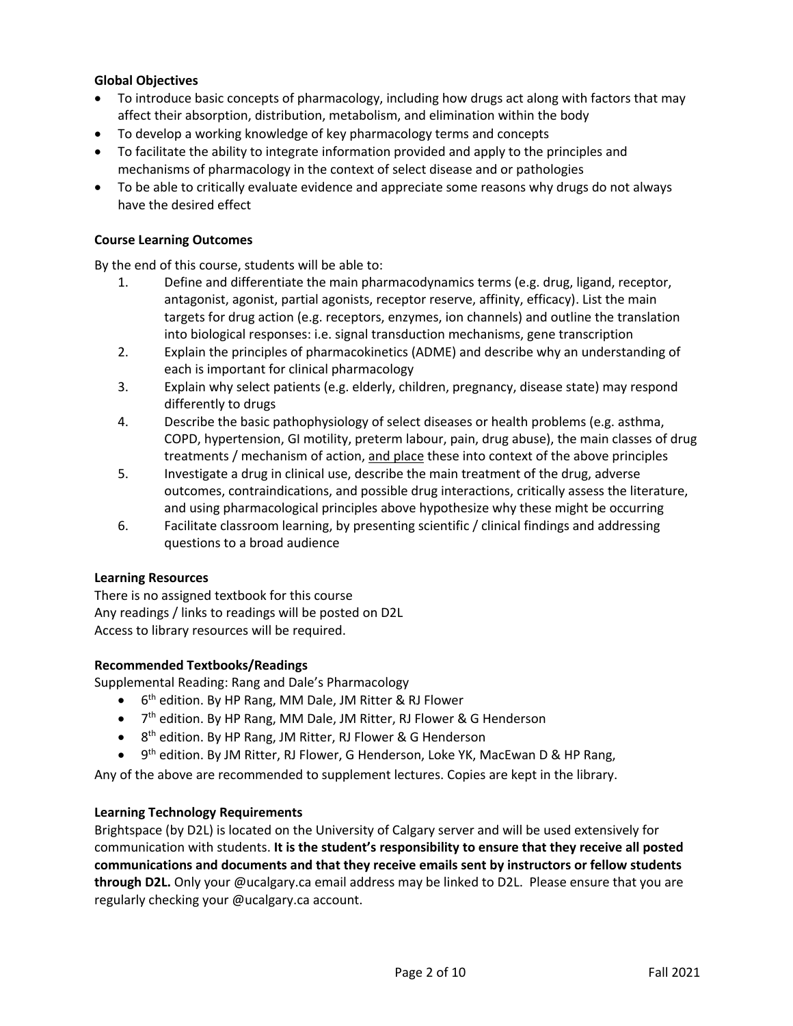## **Global Objectives**

- To introduce basic concepts of pharmacology, including how drugs act along with factors that may affect their absorption, distribution, metabolism, and elimination within the body
- To develop a working knowledge of key pharmacology terms and concepts
- To facilitate the ability to integrate information provided and apply to the principles and mechanisms of pharmacology in the context of select disease and or pathologies
- To be able to critically evaluate evidence and appreciate some reasons why drugs do not always have the desired effect

## **Course Learning Outcomes**

By the end of this course, students will be able to:

- 1. Define and differentiate the main pharmacodynamics terms (e.g. drug, ligand, receptor, antagonist, agonist, partial agonists, receptor reserve, affinity, efficacy). List the main targets for drug action (e.g. receptors, enzymes, ion channels) and outline the translation into biological responses: i.e. signal transduction mechanisms, gene transcription
- 2. Explain the principles of pharmacokinetics (ADME) and describe why an understanding of each is important for clinical pharmacology
- 3. Explain why select patients (e.g. elderly, children, pregnancy, disease state) may respond differently to drugs
- 4. Describe the basic pathophysiology of select diseases or health problems (e.g. asthma, COPD, hypertension, GI motility, preterm labour, pain, drug abuse), the main classes of drug treatments / mechanism of action, and place these into context of the above principles
- 5. Investigate a drug in clinical use, describe the main treatment of the drug, adverse outcomes, contraindications, and possible drug interactions, critically assess the literature, and using pharmacological principles above hypothesize why these might be occurring
- 6. Facilitate classroom learning, by presenting scientific / clinical findings and addressing questions to a broad audience

## **Learning Resources**

There is no assigned textbook for this course Any readings / links to readings will be posted on D2L Access to library resources will be required.

## **Recommended Textbooks/Readings**

Supplemental Reading: Rang and Dale's Pharmacology

- 6<sup>th</sup> edition. By HP Rang, MM Dale, JM Ritter & RJ Flower
- 7<sup>th</sup> edition. By HP Rang, MM Dale, JM Ritter, RJ Flower & G Henderson
- 8<sup>th</sup> edition. By HP Rang, JM Ritter, RJ Flower & G Henderson
- 9<sup>th</sup> edition. By JM Ritter, RJ Flower, G Henderson, Loke YK, MacEwan D & HP Rang,

Any of the above are recommended to supplement lectures. Copies are kept in the library.

## **Learning Technology Requirements**

Brightspace (by D2L) is located on the University of Calgary server and will be used extensively for communication with students. **It is the student's responsibility to ensure that they receive all posted communications and documents and that they receive emails sent by instructors or fellow students through D2L.** Only your @ucalgary.ca email address may be linked to D2L. Please ensure that you are regularly checking your @ucalgary.ca account.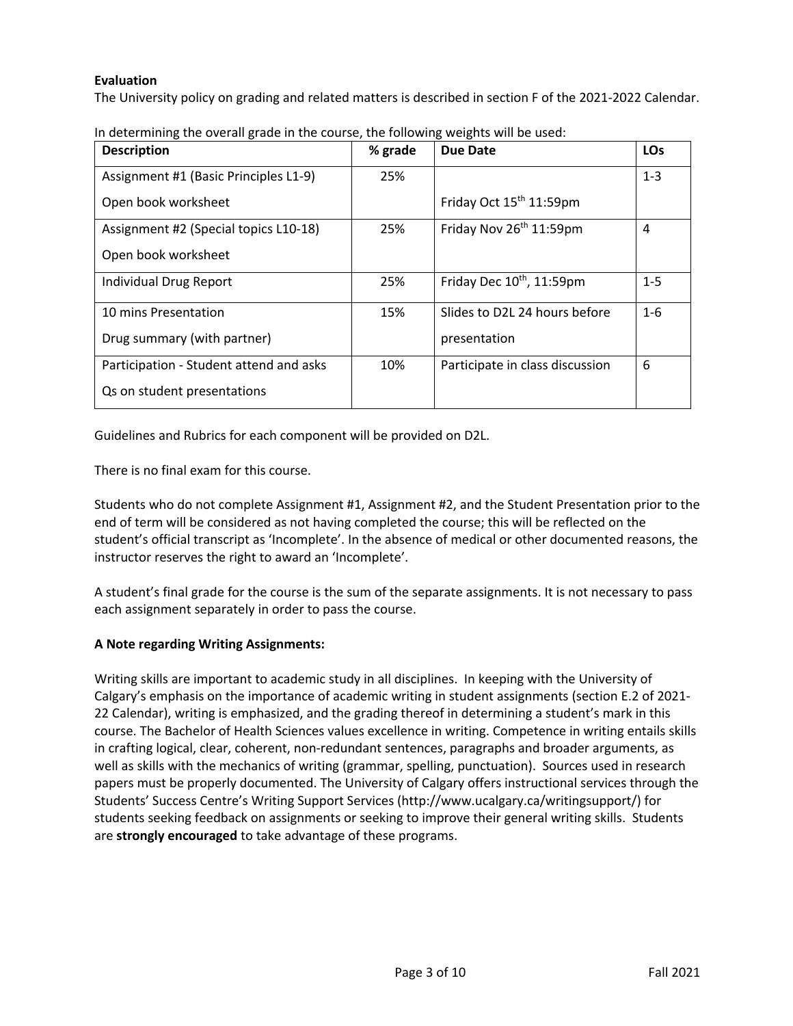# **Evaluation**

The University policy on grading and related matters is described in section F of the 2021-2022 Calendar.

| <b>Description</b>                      | % grade | Due Date                            | <b>LOs</b> |
|-----------------------------------------|---------|-------------------------------------|------------|
| Assignment #1 (Basic Principles L1-9)   | 25%     |                                     | $1 - 3$    |
| Open book worksheet                     |         | Friday Oct 15 <sup>th</sup> 11:59pm |            |
| Assignment #2 (Special topics L10-18)   | 25%     | Friday Nov 26 <sup>th</sup> 11:59pm | 4          |
| Open book worksheet                     |         |                                     |            |
| Individual Drug Report                  | 25%     | Friday Dec $10^{th}$ , 11:59pm      | $1 - 5$    |
| 10 mins Presentation                    | 15%     | Slides to D2L 24 hours before       | $1 - 6$    |
| Drug summary (with partner)             |         | presentation                        |            |
| Participation - Student attend and asks | 10%     | Participate in class discussion     | 6          |
| Qs on student presentations             |         |                                     |            |

In determining the overall grade in the course, the following weights will be used:

Guidelines and Rubrics for each component will be provided on D2L.

There is no final exam for this course.

Students who do not complete Assignment #1, Assignment #2, and the Student Presentation prior to the end of term will be considered as not having completed the course; this will be reflected on the student's official transcript as 'Incomplete'. In the absence of medical or other documented reasons, the instructor reserves the right to award an 'Incomplete'.

A student's final grade for the course is the sum of the separate assignments. It is not necessary to pass each assignment separately in order to pass the course.

# **A Note regarding Writing Assignments:**

Writing skills are important to academic study in all disciplines. In keeping with the University of Calgary's emphasis on the importance of academic writing in student assignments (section E.2 of 2021- 22 Calendar), writing is emphasized, and the grading thereof in determining a student's mark in this course. The Bachelor of Health Sciences values excellence in writing. Competence in writing entails skills in crafting logical, clear, coherent, non-redundant sentences, paragraphs and broader arguments, as well as skills with the mechanics of writing (grammar, spelling, punctuation). Sources used in research papers must be properly documented. The University of Calgary offers instructional services through the Students' Success Centre's Writing Support Services (http://www.ucalgary.ca/writingsupport/) for students seeking feedback on assignments or seeking to improve their general writing skills. Students are **strongly encouraged** to take advantage of these programs.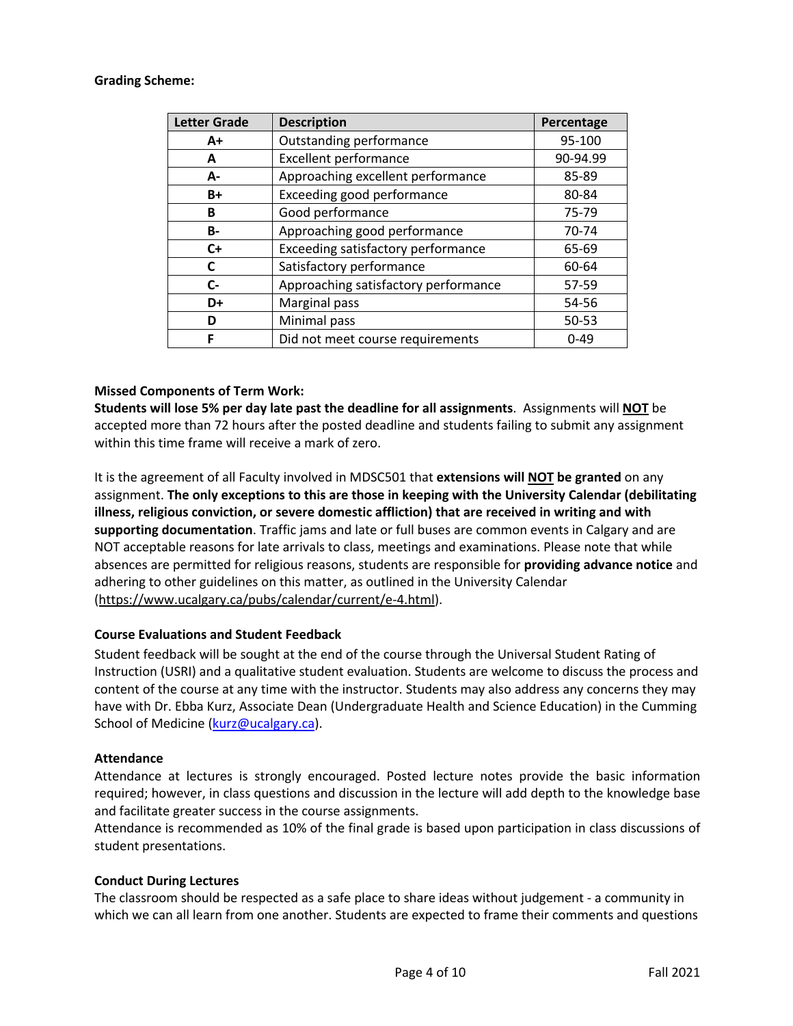#### **Grading Scheme:**

| <b>Letter Grade</b> | <b>Description</b>                   | Percentage |
|---------------------|--------------------------------------|------------|
| $A+$                | <b>Outstanding performance</b>       | 95-100     |
| A                   | <b>Excellent performance</b>         | 90-94.99   |
| А-                  | Approaching excellent performance    | 85-89      |
| $B+$                | Exceeding good performance           | 80-84      |
| B                   | Good performance                     | 75-79      |
| <b>B-</b>           | Approaching good performance         | 70-74      |
| $C+$                | Exceeding satisfactory performance   | 65-69      |
| C                   | Satisfactory performance             | 60-64      |
| $C-$                | Approaching satisfactory performance | 57-59      |
| D+                  | Marginal pass                        | 54-56      |
| D                   | Minimal pass                         | 50-53      |
| F                   | Did not meet course requirements     | $0 - 49$   |

## **Missed Components of Term Work:**

**Students will lose 5% per day late past the deadline for all assignments**. Assignments will **NOT** be accepted more than 72 hours after the posted deadline and students failing to submit any assignment within this time frame will receive a mark of zero.

It is the agreement of all Faculty involved in MDSC501 that **extensions will NOT be granted** on any assignment. **The only exceptions to this are those in keeping with the University Calendar (debilitating illness, religious conviction, or severe domestic affliction) that are received in writing and with supporting documentation**. Traffic jams and late or full buses are common events in Calgary and are NOT acceptable reasons for late arrivals to class, meetings and examinations. Please note that while absences are permitted for religious reasons, students are responsible for **providing advance notice** and adhering to other guidelines on this matter, as outlined in the University Calendar (https://www.ucalgary.ca/pubs/calendar/current/e-4.html).

## **Course Evaluations and Student Feedback**

Student feedback will be sought at the end of the course through the Universal Student Rating of Instruction (USRI) and a qualitative student evaluation. Students are welcome to discuss the process and content of the course at any time with the instructor. Students may also address any concerns they may have with Dr. Ebba Kurz, Associate Dean (Undergraduate Health and Science Education) in the Cumming School of Medicine (kurz@ucalgary.ca).

## **Attendance**

Attendance at lectures is strongly encouraged. Posted lecture notes provide the basic information required; however, in class questions and discussion in the lecture will add depth to the knowledge base and facilitate greater success in the course assignments.

Attendance is recommended as 10% of the final grade is based upon participation in class discussions of student presentations.

## **Conduct During Lectures**

The classroom should be respected as a safe place to share ideas without judgement - a community in which we can all learn from one another. Students are expected to frame their comments and questions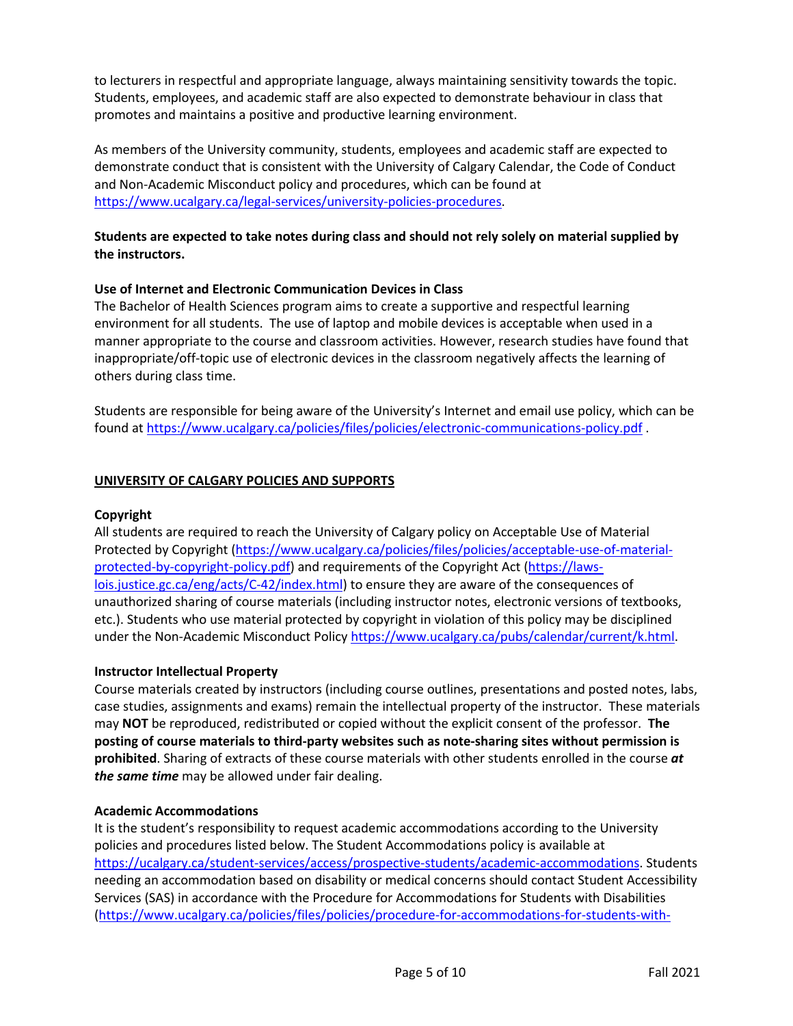to lecturers in respectful and appropriate language, always maintaining sensitivity towards the topic. Students, employees, and academic staff are also expected to demonstrate behaviour in class that promotes and maintains a positive and productive learning environment.

As members of the University community, students, employees and academic staff are expected to demonstrate conduct that is consistent with the University of Calgary Calendar, the Code of Conduct and Non-Academic Misconduct policy and procedures, which can be found at https://www.ucalgary.ca/legal-services/university-policies-procedures.

## **Students are expected to take notes during class and should not rely solely on material supplied by the instructors.**

## **Use of Internet and Electronic Communication Devices in Class**

The Bachelor of Health Sciences program aims to create a supportive and respectful learning environment for all students. The use of laptop and mobile devices is acceptable when used in a manner appropriate to the course and classroom activities. However, research studies have found that inappropriate/off-topic use of electronic devices in the classroom negatively affects the learning of others during class time.

Students are responsible for being aware of the University's Internet and email use policy, which can be found at https://www.ucalgary.ca/policies/files/policies/electronic-communications-policy.pdf .

## **UNIVERSITY OF CALGARY POLICIES AND SUPPORTS**

## **Copyright**

All students are required to reach the University of Calgary policy on Acceptable Use of Material Protected by Copyright (https://www.ucalgary.ca/policies/files/policies/acceptable-use-of-materialprotected-by-copyright-policy.pdf) and requirements of the Copyright Act (https://lawslois.justice.gc.ca/eng/acts/C-42/index.html) to ensure they are aware of the consequences of unauthorized sharing of course materials (including instructor notes, electronic versions of textbooks, etc.). Students who use material protected by copyright in violation of this policy may be disciplined under the Non-Academic Misconduct Policy https://www.ucalgary.ca/pubs/calendar/current/k.html.

## **Instructor Intellectual Property**

Course materials created by instructors (including course outlines, presentations and posted notes, labs, case studies, assignments and exams) remain the intellectual property of the instructor. These materials may **NOT** be reproduced, redistributed or copied without the explicit consent of the professor. **The posting of course materials to third-party websites such as note-sharing sites without permission is prohibited**. Sharing of extracts of these course materials with other students enrolled in the course *at the same time* may be allowed under fair dealing.

## **Academic Accommodations**

It is the student's responsibility to request academic accommodations according to the University policies and procedures listed below. The Student Accommodations policy is available at https://ucalgary.ca/student-services/access/prospective-students/academic-accommodations. Students needing an accommodation based on disability or medical concerns should contact Student Accessibility Services (SAS) in accordance with the Procedure for Accommodations for Students with Disabilities (https://www.ucalgary.ca/policies/files/policies/procedure-for-accommodations-for-students-with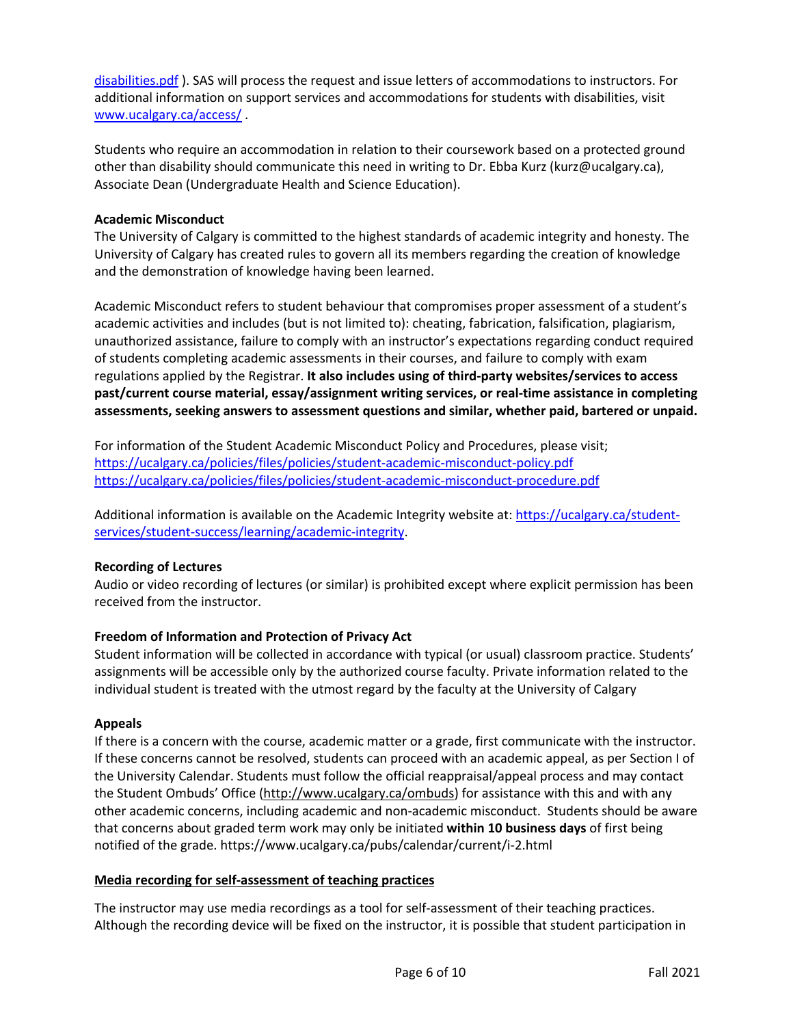disabilities.pdf ). SAS will process the request and issue letters of accommodations to instructors. For additional information on support services and accommodations for students with disabilities, visit www.ucalgary.ca/access/ .

Students who require an accommodation in relation to their coursework based on a protected ground other than disability should communicate this need in writing to Dr. Ebba Kurz (kurz@ucalgary.ca), Associate Dean (Undergraduate Health and Science Education).

## **Academic Misconduct**

The University of Calgary is committed to the highest standards of academic integrity and honesty. The University of Calgary has created rules to govern all its members regarding the creation of knowledge and the demonstration of knowledge having been learned.

Academic Misconduct refers to student behaviour that compromises proper assessment of a student's academic activities and includes (but is not limited to): cheating, fabrication, falsification, plagiarism, unauthorized assistance, failure to comply with an instructor's expectations regarding conduct required of students completing academic assessments in their courses, and failure to comply with exam regulations applied by the Registrar. **It also includes using of third-party websites/services to access past/current course material, essay/assignment writing services, or real-time assistance in completing assessments, seeking answers to assessment questions and similar, whether paid, bartered or unpaid.**

For information of the Student Academic Misconduct Policy and Procedures, please visit; https://ucalgary.ca/policies/files/policies/student-academic-misconduct-policy.pdf https://ucalgary.ca/policies/files/policies/student-academic-misconduct-procedure.pdf

Additional information is available on the Academic Integrity website at: https://ucalgary.ca/studentservices/student-success/learning/academic-integrity.

# **Recording of Lectures**

Audio or video recording of lectures (or similar) is prohibited except where explicit permission has been received from the instructor.

# **Freedom of Information and Protection of Privacy Act**

Student information will be collected in accordance with typical (or usual) classroom practice. Students' assignments will be accessible only by the authorized course faculty. Private information related to the individual student is treated with the utmost regard by the faculty at the University of Calgary

## **Appeals**

If there is a concern with the course, academic matter or a grade, first communicate with the instructor. If these concerns cannot be resolved, students can proceed with an academic appeal, as per Section I of the University Calendar. Students must follow the official reappraisal/appeal process and may contact the Student Ombuds' Office (http://www.ucalgary.ca/ombuds) for assistance with this and with any other academic concerns, including academic and non-academic misconduct. Students should be aware that concerns about graded term work may only be initiated **within 10 business days** of first being notified of the grade. https://www.ucalgary.ca/pubs/calendar/current/i-2.html

## **Media recording for self-assessment of teaching practices**

The instructor may use media recordings as a tool for self-assessment of their teaching practices. Although the recording device will be fixed on the instructor, it is possible that student participation in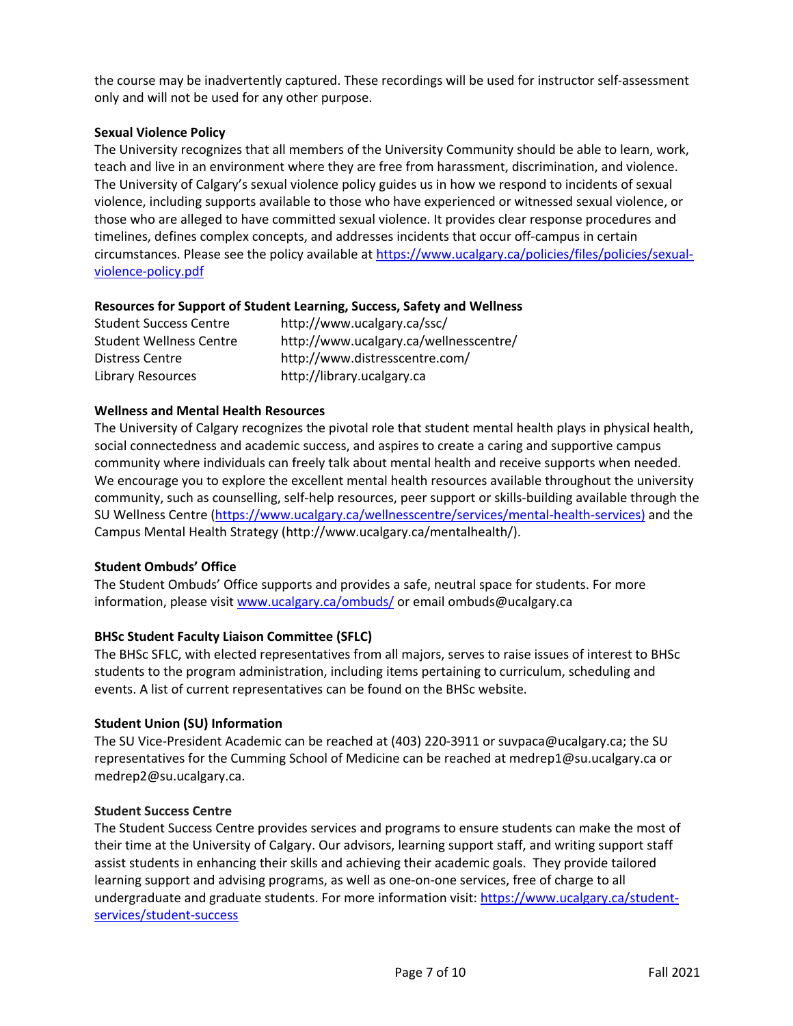the course may be inadvertently captured. These recordings will be used for instructor self-assessment only and will not be used for any other purpose.

## **Sexual Violence Policy**

The University recognizes that all members of the University Community should be able to learn, work, teach and live in an environment where they are free from harassment, discrimination, and violence. The University of Calgary's sexual violence policy guides us in how we respond to incidents of sexual violence, including supports available to those who have experienced or witnessed sexual violence, or those who are alleged to have committed sexual violence. It provides clear response procedures and timelines, defines complex concepts, and addresses incidents that occur off-campus in certain circumstances. Please see the policy available at https://www.ucalgary.ca/policies/files/policies/sexualviolence-policy.pdf

## **Resources for Support of Student Learning, Success, Safety and Wellness**

| <b>Student Success Centre</b>  | http://www.ucalgary.ca/ssc/            |
|--------------------------------|----------------------------------------|
| <b>Student Wellness Centre</b> | http://www.ucalgary.ca/wellnesscentre/ |
| Distress Centre                | http://www.distresscentre.com/         |
| <b>Library Resources</b>       | http://library.ucalgary.ca             |

## **Wellness and Mental Health Resources**

The University of Calgary recognizes the pivotal role that student mental health plays in physical health, social connectedness and academic success, and aspires to create a caring and supportive campus community where individuals can freely talk about mental health and receive supports when needed. We encourage you to explore the excellent mental health resources available throughout the university community, such as counselling, self-help resources, peer support or skills-building available through the SU Wellness Centre (https://www.ucalgary.ca/wellnesscentre/services/mental-health-services) and the Campus Mental Health Strategy (http://www.ucalgary.ca/mentalhealth/).

# **Student Ombuds' Office**

The Student Ombuds' Office supports and provides a safe, neutral space for students. For more information, please visit www.ucalgary.ca/ombuds/ or email ombuds@ucalgary.ca

## **BHSc Student Faculty Liaison Committee (SFLC)**

The BHSc SFLC, with elected representatives from all majors, serves to raise issues of interest to BHSc students to the program administration, including items pertaining to curriculum, scheduling and events. A list of current representatives can be found on the BHSc website.

# **Student Union (SU) Information**

The SU Vice-President Academic can be reached at (403) 220-3911 or suvpaca@ucalgary.ca; the SU representatives for the Cumming School of Medicine can be reached at medrep1@su.ucalgary.ca or medrep2@su.ucalgary.ca.

## **Student Success Centre**

The Student Success Centre provides services and programs to ensure students can make the most of their time at the University of Calgary. Our advisors, learning support staff, and writing support staff assist students in enhancing their skills and achieving their academic goals. They provide tailored learning support and advising programs, as well as one-on-one services, free of charge to all undergraduate and graduate students. For more information visit: https://www.ucalgary.ca/studentservices/student-success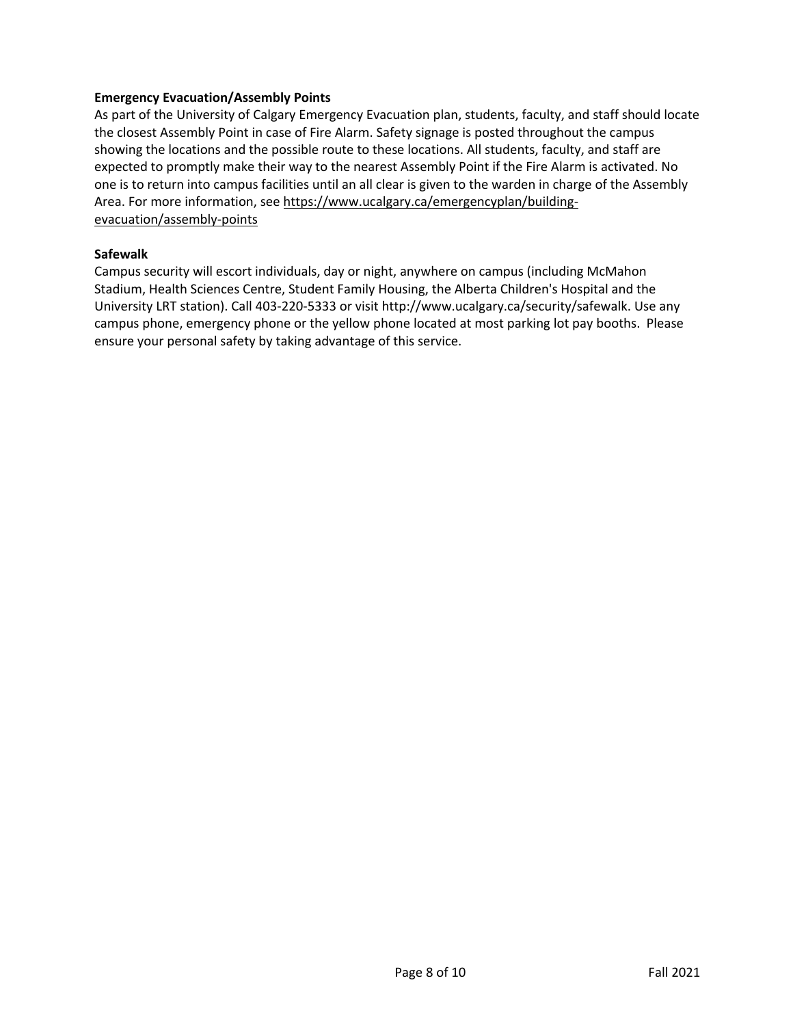## **Emergency Evacuation/Assembly Points**

As part of the University of Calgary Emergency Evacuation plan, students, faculty, and staff should locate the closest Assembly Point in case of Fire Alarm. Safety signage is posted throughout the campus showing the locations and the possible route to these locations. All students, faculty, and staff are expected to promptly make their way to the nearest Assembly Point if the Fire Alarm is activated. No one is to return into campus facilities until an all clear is given to the warden in charge of the Assembly Area. For more information, see https://www.ucalgary.ca/emergencyplan/buildingevacuation/assembly-points

#### **Safewalk**

Campus security will escort individuals, day or night, anywhere on campus (including McMahon Stadium, Health Sciences Centre, Student Family Housing, the Alberta Children's Hospital and the University LRT station). Call 403-220-5333 or visit http://www.ucalgary.ca/security/safewalk. Use any campus phone, emergency phone or the yellow phone located at most parking lot pay booths. Please ensure your personal safety by taking advantage of this service.